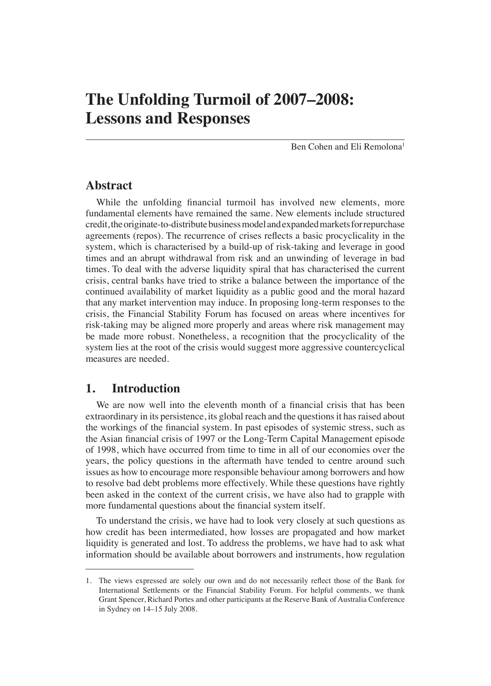# **The Unfolding Turmoil of 2007–2008: Lessons and Responses**

Ben Cohen and Eli Remolona1

## **Abstract**

While the unfolding financial turmoil has involved new elements, more fundamental elements have remained the same. New elements include structured credit, the originate-to-distribute business model and expanded markets for repurchase agreements (repos). The recurrence of crises reflects a basic procyclicality in the system, which is characterised by a build-up of risk-taking and leverage in good times and an abrupt withdrawal from risk and an unwinding of leverage in bad times. To deal with the adverse liquidity spiral that has characterised the current crisis, central banks have tried to strike a balance between the importance of the continued availability of market liquidity as a public good and the moral hazard that any market intervention may induce. In proposing long-term responses to the crisis, the Financial Stability Forum has focused on areas where incentives for risk-taking may be aligned more properly and areas where risk management may be made more robust. Nonetheless, a recognition that the procyclicality of the system lies at the root of the crisis would suggest more aggressive countercyclical measures are needed.

# **1. Introduction**

We are now well into the eleventh month of a financial crisis that has been extraordinary in its persistence, its global reach and the questions it has raised about the workings of the financial system. In past episodes of systemic stress, such as the Asian financial crisis of 1997 or the Long-Term Capital Management episode of 1998, which have occurred from time to time in all of our economies over the years, the policy questions in the aftermath have tended to centre around such issues as how to encourage more responsible behaviour among borrowers and how to resolve bad debt problems more effectively. While these questions have rightly been asked in the context of the current crisis, we have also had to grapple with more fundamental questions about the financial system itself.

To understand the crisis, we have had to look very closely at such questions as how credit has been intermediated, how losses are propagated and how market liquidity is generated and lost. To address the problems, we have had to ask what information should be available about borrowers and instruments, how regulation

<sup>1.</sup> The views expressed are solely our own and do not necessarily reflect those of the Bank for International Settlements or the Financial Stability Forum. For helpful comments, we thank Grant Spencer, Richard Portes and other participants at the Reserve Bank of Australia Conference in Sydney on 14–15 July 2008.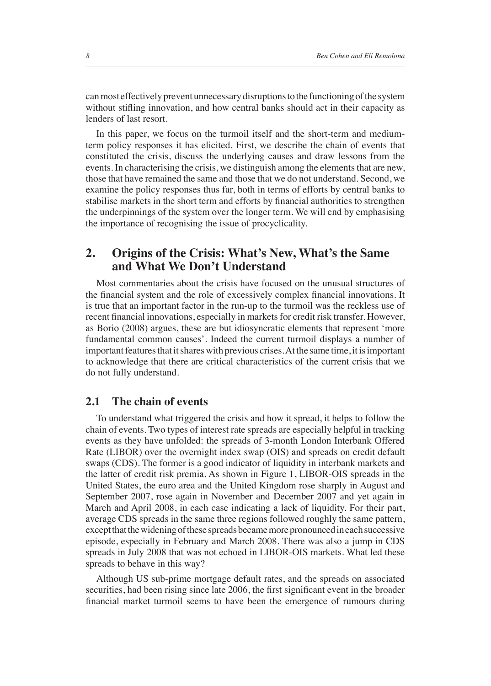can most effectively prevent unnecessary disruptions to the functioning of the system without stifling innovation, and how central banks should act in their capacity as lenders of last resort.

In this paper, we focus on the turmoil itself and the short-term and mediumterm policy responses it has elicited. First, we describe the chain of events that constituted the crisis, discuss the underlying causes and draw lessons from the events. In characterising the crisis, we distinguish among the elements that are new, those that have remained the same and those that we do not understand. Second, we examine the policy responses thus far, both in terms of efforts by central banks to stabilise markets in the short term and efforts by financial authorities to strengthen the underpinnings of the system over the longer term. We will end by emphasising the importance of recognising the issue of procyclicality.

# **2. Origins of the Crisis: What's New, What's the Same and What We Don't Understand**

Most commentaries about the crisis have focused on the unusual structures of the financial system and the role of excessively complex financial innovations. It is true that an important factor in the run-up to the turmoil was the reckless use of recent financial innovations, especially in markets for credit risk transfer. However, as Borio (2008) argues, these are but idiosyncratic elements that represent 'more fundamental common causes'. Indeed the current turmoil displays a number of important features that it shares with previous crises. At the same time, it is important to acknowledge that there are critical characteristics of the current crisis that we do not fully understand.

#### **2.1 The chain of events**

To understand what triggered the crisis and how it spread, it helps to follow the chain of events. Two types of interest rate spreads are especially helpful in tracking events as they have unfolded: the spreads of 3-month London Interbank Offered Rate (LIBOR) over the overnight index swap (OIS) and spreads on credit default swaps (CDS). The former is a good indicator of liquidity in interbank markets and the latter of credit risk premia. As shown in Figure 1, LIBOR-OIS spreads in the United States, the euro area and the United Kingdom rose sharply in August and September 2007, rose again in November and December 2007 and yet again in March and April 2008, in each case indicating a lack of liquidity. For their part, average CDS spreads in the same three regions followed roughly the same pattern, except that the widening of these spreads became more pronounced in each successive episode, especially in February and March 2008. There was also a jump in CDS spreads in July 2008 that was not echoed in LIBOR-OIS markets. What led these spreads to behave in this way?

Although US sub-prime mortgage default rates, and the spreads on associated securities, had been rising since late 2006, the first significant event in the broader financial market turmoil seems to have been the emergence of rumours during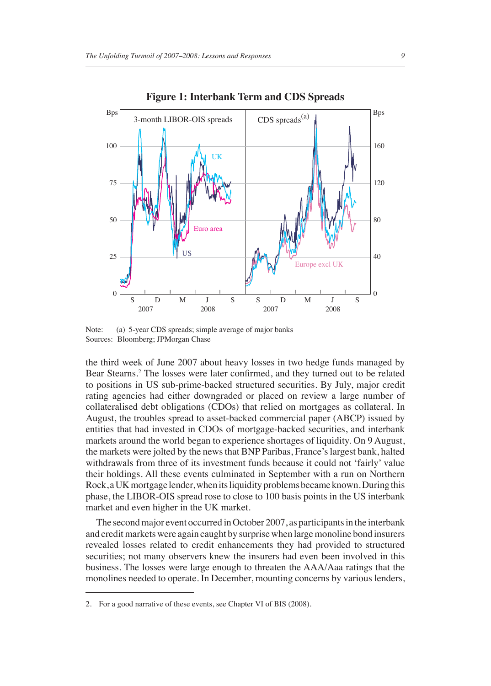

**Figure 1: Interbank Term and CDS Spreads**

Note: (a) 5-year CDS spreads; simple average of major banks Sources: Bloomberg; JPMorgan Chase

the third week of June 2007 about heavy losses in two hedge funds managed by Bear Stearns.<sup>2</sup> The losses were later confirmed, and they turned out to be related to positions in US sub-prime-backed structured securities. By July, major credit rating agencies had either downgraded or placed on review a large number of collateralised debt obligations (CDOs) that relied on mortgages as collateral. In August, the troubles spread to asset-backed commercial paper (ABCP) issued by entities that had invested in CDOs of mortgage-backed securities, and interbank markets around the world began to experience shortages of liquidity. On 9 August, the markets were jolted by the news that BNP Paribas, France's largest bank, halted withdrawals from three of its investment funds because it could not 'fairly' value their holdings. All these events culminated in September with a run on Northern Rock, a UK mortgage lender, when its liquidity problems became known. During this phase, the LIBOR-OIS spread rose to close to 100 basis points in the US interbank market and even higher in the UK market.

The second major event occurred in October 2007, as participants in the interbank and credit markets were again caught by surprise when large monoline bond insurers revealed losses related to credit enhancements they had provided to structured securities; not many observers knew the insurers had even been involved in this business. The losses were large enough to threaten the AAA/Aaa ratings that the monolines needed to operate. In December, mounting concerns by various lenders,

<sup>2.</sup> For a good narrative of these events, see Chapter VI of BIS (2008).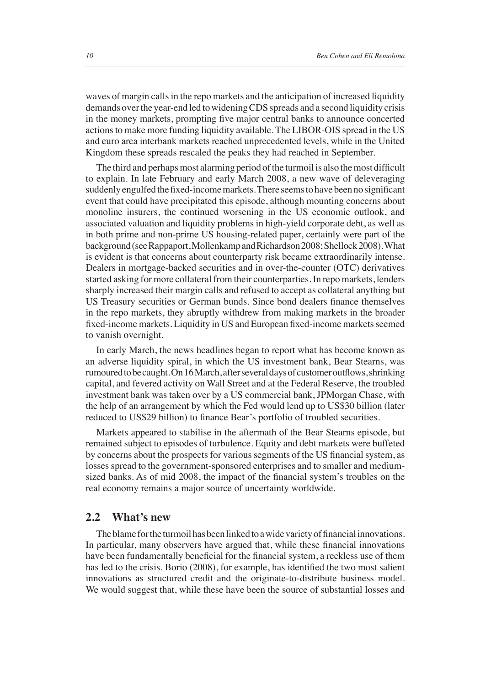waves of margin calls in the repo markets and the anticipation of increased liquidity demands over the year-end led to widening CDS spreads and a second liquidity crisis in the money markets, prompting five major central banks to announce concerted actions to make more funding liquidity available. The LIBOR-OIS spread in the US and euro area interbank markets reached unprecedented levels, while in the United Kingdom these spreads rescaled the peaks they had reached in September.

The third and perhaps most alarming period of the turmoil is also the most difficult to explain. In late February and early March 2008, a new wave of deleveraging suddenly engulfed the fixed-income markets. There seems to have been no significant event that could have precipitated this episode, although mounting concerns about monoline insurers, the continued worsening in the US economic outlook, and associated valuation and liquidity problems in high-yield corporate debt, as well as in both prime and non-prime US housing-related paper, certainly were part of the background (see Rappaport, Mollenkamp and Richardson 2008; Shellock 2008). What is evident is that concerns about counterparty risk became extraordinarily intense. Dealers in mortgage-backed securities and in over-the-counter (OTC) derivatives started asking for more collateral from their counterparties. In repo markets, lenders sharply increased their margin calls and refused to accept as collateral anything but US Treasury securities or German bunds. Since bond dealers finance themselves in the repo markets, they abruptly withdrew from making markets in the broader fixed-income markets. Liquidity in US and European fixed-income markets seemed to vanish overnight.

In early March, the news headlines began to report what has become known as an adverse liquidity spiral, in which the US investment bank, Bear Stearns, was rumoured to be caught. On 16 March, after several days of customer outflows, shrinking capital, and fevered activity on Wall Street and at the Federal Reserve, the troubled investment bank was taken over by a US commercial bank, JPMorgan Chase, with the help of an arrangement by which the Fed would lend up to US\$30 billion (later reduced to US\$29 billion) to finance Bear's portfolio of troubled securities.

Markets appeared to stabilise in the aftermath of the Bear Stearns episode, but remained subject to episodes of turbulence. Equity and debt markets were buffeted by concerns about the prospects for various segments of the US financial system, as losses spread to the government-sponsored enterprises and to smaller and mediumsized banks. As of mid 2008, the impact of the financial system's troubles on the real economy remains a major source of uncertainty worldwide.

#### **2.2 What's new**

The blame for the turmoil has been linked to a wide variety of financial innovations. In particular, many observers have argued that, while these financial innovations have been fundamentally beneficial for the financial system, a reckless use of them has led to the crisis. Borio (2008), for example, has identified the two most salient innovations as structured credit and the originate-to-distribute business model. We would suggest that, while these have been the source of substantial losses and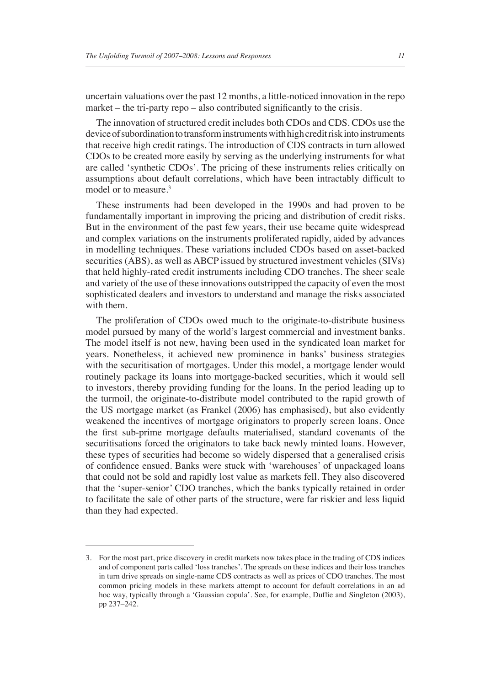uncertain valuations over the past 12 months, a little-noticed innovation in the repo market – the tri-party repo – also contributed significantly to the crisis.

The innovation of structured credit includes both CDOs and CDS. CDOs use the device of subordination to transform instruments with high credit risk into instruments that receive high credit ratings. The introduction of CDS contracts in turn allowed CDOs to be created more easily by serving as the underlying instruments for what are called 'synthetic CDOs'. The pricing of these instruments relies critically on assumptions about default correlations, which have been intractably difficult to model or to measure.3

These instruments had been developed in the 1990s and had proven to be fundamentally important in improving the pricing and distribution of credit risks. But in the environment of the past few years, their use became quite widespread and complex variations on the instruments proliferated rapidly, aided by advances in modelling techniques. These variations included CDOs based on asset-backed securities (ABS), as well as ABCP issued by structured investment vehicles (SIVs) that held highly-rated credit instruments including CDO tranches. The sheer scale and variety of the use of these innovations outstripped the capacity of even the most sophisticated dealers and investors to understand and manage the risks associated with them.

The proliferation of CDOs owed much to the originate-to-distribute business model pursued by many of the world's largest commercial and investment banks. The model itself is not new, having been used in the syndicated loan market for years. Nonetheless, it achieved new prominence in banks' business strategies with the securitisation of mortgages. Under this model, a mortgage lender would routinely package its loans into mortgage-backed securities, which it would sell to investors, thereby providing funding for the loans. In the period leading up to the turmoil, the originate-to-distribute model contributed to the rapid growth of the US mortgage market (as Frankel (2006) has emphasised), but also evidently weakened the incentives of mortgage originators to properly screen loans. Once the first sub-prime mortgage defaults materialised, standard covenants of the securitisations forced the originators to take back newly minted loans. However, these types of securities had become so widely dispersed that a generalised crisis of confidence ensued. Banks were stuck with 'warehouses' of unpackaged loans that could not be sold and rapidly lost value as markets fell. They also discovered that the 'super-senior' CDO tranches, which the banks typically retained in order to facilitate the sale of other parts of the structure, were far riskier and less liquid than they had expected.

<sup>3.</sup> For the most part, price discovery in credit markets now takes place in the trading of CDS indices and of component parts called 'loss tranches'. The spreads on these indices and their loss tranches in turn drive spreads on single-name CDS contracts as well as prices of CDO tranches. The most common pricing models in these markets attempt to account for default correlations in an ad hoc way, typically through a 'Gaussian copula'. See, for example, Duffie and Singleton (2003), pp 237–242.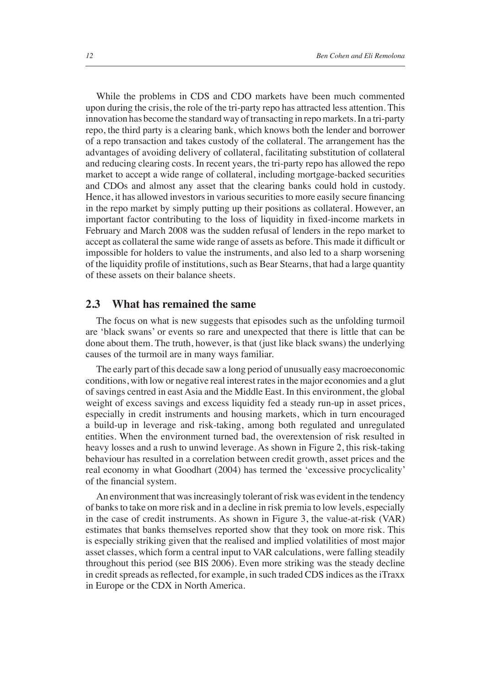While the problems in CDS and CDO markets have been much commented upon during the crisis, the role of the tri-party repo has attracted less attention. This innovation has become the standard way of transacting in repo markets. In a tri-party repo, the third party is a clearing bank, which knows both the lender and borrower of a repo transaction and takes custody of the collateral. The arrangement has the advantages of avoiding delivery of collateral, facilitating substitution of collateral and reducing clearing costs. In recent years, the tri-party repo has allowed the repo market to accept a wide range of collateral, including mortgage-backed securities and CDOs and almost any asset that the clearing banks could hold in custody. Hence, it has allowed investors in various securities to more easily secure financing in the repo market by simply putting up their positions as collateral. However, an important factor contributing to the loss of liquidity in fixed-income markets in February and March 2008 was the sudden refusal of lenders in the repo market to accept as collateral the same wide range of assets as before. This made it difficult or impossible for holders to value the instruments, and also led to a sharp worsening of the liquidity profile of institutions, such as Bear Stearns, that had a large quantity of these assets on their balance sheets.

#### **2.3 What has remained the same**

The focus on what is new suggests that episodes such as the unfolding turmoil are 'black swans' or events so rare and unexpected that there is little that can be done about them. The truth, however, is that (just like black swans) the underlying causes of the turmoil are in many ways familiar.

The early part of this decade saw a long period of unusually easy macroeconomic conditions, with low or negative real interest rates in the major economies and a glut of savings centred in east Asia and the Middle East. In this environment, the global weight of excess savings and excess liquidity fed a steady run-up in asset prices, especially in credit instruments and housing markets, which in turn encouraged a build-up in leverage and risk-taking, among both regulated and unregulated entities. When the environment turned bad, the overextension of risk resulted in heavy losses and a rush to unwind leverage. As shown in Figure 2, this risk-taking behaviour has resulted in a correlation between credit growth, asset prices and the real economy in what Goodhart (2004) has termed the 'excessive procyclicality' of the financial system.

An environment that was increasingly tolerant of risk was evident in the tendency of banks to take on more risk and in a decline in risk premia to low levels, especially in the case of credit instruments. As shown in Figure 3, the value-at-risk (VAR) estimates that banks themselves reported show that they took on more risk. This is especially striking given that the realised and implied volatilities of most major asset classes, which form a central input to VAR calculations, were falling steadily throughout this period (see BIS 2006). Even more striking was the steady decline in credit spreads as reflected, for example, in such traded CDS indices as the iTraxx in Europe or the CDX in North America.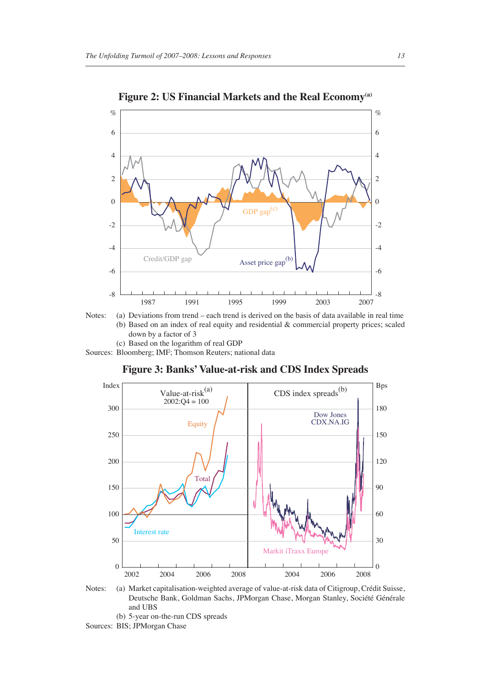

Figure 2: US Financial Markets and the Real Economy<sup>(a)</sup>



(c) Based on the logarithm of real GDP

Sources: Bloomberg; IMF; Thomson Reuters; national data

**Figure 3: Banks' Value-at-risk and CDS Index Spreads**



Notes: (a) Market capitalisation-weighted average of value-at-risk data of Citigroup, Crédit Suisse, Deutsche Bank, Goldman Sachs, JPMorgan Chase, Morgan Stanley, Société Générale and UBS (b) 5-year on-the-run CDS spreads

Sources: BIS; JPMorgan Chase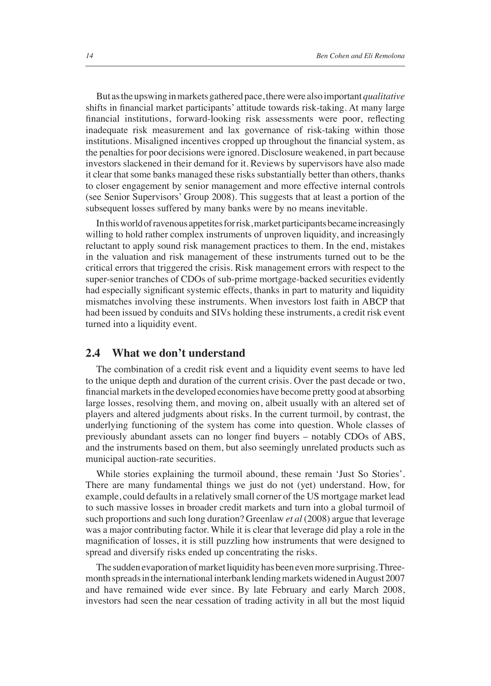But as the upswing in markets gathered pace, there were also important *qualitative* shifts in financial market participants' attitude towards risk-taking. At many large financial institutions, forward-looking risk assessments were poor, reflecting inadequate risk measurement and lax governance of risk-taking within those institutions. Misaligned incentives cropped up throughout the financial system, as the penalties for poor decisions were ignored. Disclosure weakened, in part because investors slackened in their demand for it. Reviews by supervisors have also made it clear that some banks managed these risks substantially better than others, thanks to closer engagement by senior management and more effective internal controls (see Senior Supervisors' Group 2008). This suggests that at least a portion of the subsequent losses suffered by many banks were by no means inevitable.

In this world of ravenous appetites for risk, market participants became increasingly willing to hold rather complex instruments of unproven liquidity, and increasingly reluctant to apply sound risk management practices to them. In the end, mistakes in the valuation and risk management of these instruments turned out to be the critical errors that triggered the crisis. Risk management errors with respect to the super-senior tranches of CDOs of sub-prime mortgage-backed securities evidently had especially significant systemic effects, thanks in part to maturity and liquidity mismatches involving these instruments. When investors lost faith in ABCP that had been issued by conduits and SIVs holding these instruments, a credit risk event turned into a liquidity event.

#### **2.4 What we don't understand**

The combination of a credit risk event and a liquidity event seems to have led to the unique depth and duration of the current crisis. Over the past decade or two, financial markets in the developed economies have become pretty good at absorbing large losses, resolving them, and moving on, albeit usually with an altered set of players and altered judgments about risks. In the current turmoil, by contrast, the underlying functioning of the system has come into question. Whole classes of previously abundant assets can no longer find buyers – notably CDOs of ABS, and the instruments based on them, but also seemingly unrelated products such as municipal auction-rate securities.

While stories explaining the turmoil abound, these remain 'Just So Stories'. There are many fundamental things we just do not (yet) understand. How, for example, could defaults in a relatively small corner of the US mortgage market lead to such massive losses in broader credit markets and turn into a global turmoil of such proportions and such long duration? Greenlaw *et al* (2008) argue that leverage was a major contributing factor. While it is clear that leverage did play a role in the magnification of losses, it is still puzzling how instruments that were designed to spread and diversify risks ended up concentrating the risks.

The sudden evaporation of market liquidity has been even more surprising. Threemonth spreads in the international interbank lending markets widened in August 2007 and have remained wide ever since. By late February and early March 2008, investors had seen the near cessation of trading activity in all but the most liquid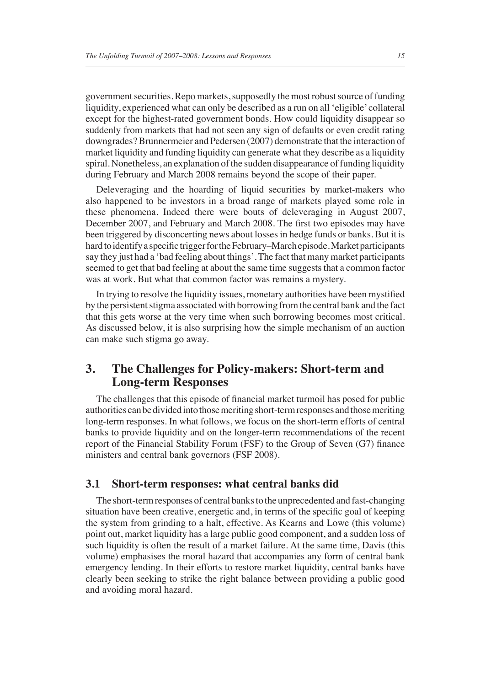government securities. Repo markets, supposedly the most robust source of funding liquidity, experienced what can only be described as a run on all 'eligible' collateral except for the highest-rated government bonds. How could liquidity disappear so suddenly from markets that had not seen any sign of defaults or even credit rating downgrades? Brunnermeier and Pedersen (2007) demonstrate that the interaction of market liquidity and funding liquidity can generate what they describe as a liquidity spiral. Nonetheless, an explanation of the sudden disappearance of funding liquidity during February and March 2008 remains beyond the scope of their paper.

Deleveraging and the hoarding of liquid securities by market-makers who also happened to be investors in a broad range of markets played some role in these phenomena. Indeed there were bouts of deleveraging in August 2007, December 2007, and February and March 2008. The first two episodes may have been triggered by disconcerting news about losses in hedge funds or banks. But it is hard to identify a specific trigger for the February–March episode. Market participants say they just had a 'bad feeling about things'. The fact that many market participants seemed to get that bad feeling at about the same time suggests that a common factor was at work. But what that common factor was remains a mystery.

In trying to resolve the liquidity issues, monetary authorities have been mystified by the persistent stigma associated with borrowing from the central bank and the fact that this gets worse at the very time when such borrowing becomes most critical. As discussed below, it is also surprising how the simple mechanism of an auction can make such stigma go away.

# **3. The Challenges for Policy-makers: Short-term and Long-term Responses**

The challenges that this episode of financial market turmoil has posed for public authorities can be divided into those meriting short-term responses and those meriting long-term responses. In what follows, we focus on the short-term efforts of central banks to provide liquidity and on the longer-term recommendations of the recent report of the Financial Stability Forum (FSF) to the Group of Seven (G7) finance ministers and central bank governors (FSF 2008).

#### **3.1 Short-term responses: what central banks did**

The short-termresponses of central banks to the unprecedented and fast-changing situation have been creative, energetic and, in terms of the specific goal of keeping the system from grinding to a halt, effective. As Kearns and Lowe (this volume) point out, market liquidity has a large public good component, and a sudden loss of such liquidity is often the result of a market failure. At the same time, Davis (this volume) emphasises the moral hazard that accompanies any form of central bank emergency lending. In their efforts to restore market liquidity, central banks have clearly been seeking to strike the right balance between providing a public good and avoiding moral hazard.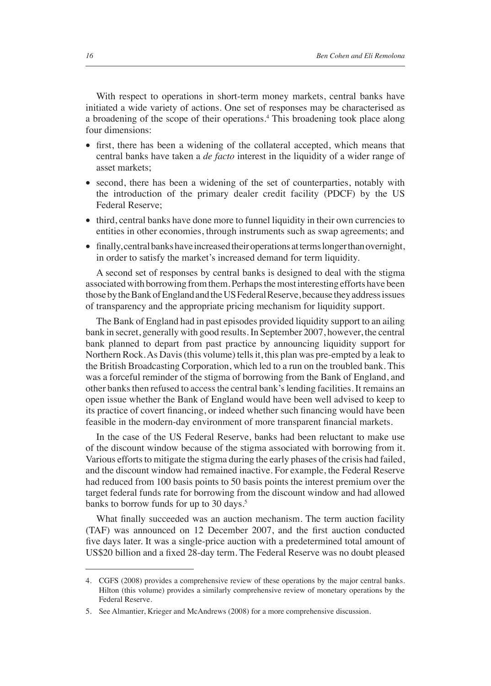With respect to operations in short-term money markets, central banks have initiated a wide variety of actions. One set of responses may be characterised as a broadening of the scope of their operations.<sup>4</sup> This broadening took place along four dimensions:

- first, there has been a widening of the collateral accepted, which means that central banks have taken a *de facto* interest in the liquidity of a wider range of asset markets;
- second, there has been a widening of the set of counterparties, notably with the introduction of the primary dealer credit facility (PDCF) by the US Federal Reserve;
- third, central banks have done more to funnel liquidity in their own currencies to entities in other economies, through instruments such as swap agreements; and
- finally, central banks have increased their operations at terms longer than overnight, in order to satisfy the market's increased demand for term liquidity.

A second set of responses by central banks is designed to deal with the stigma associated with borrowing from them. Perhaps the most interesting efforts have been those by the Bank of England and the US Federal Reserve, because they address issues of transparency and the appropriate pricing mechanism for liquidity support.

The Bank of England had in past episodes provided liquidity support to an ailing bank in secret, generally with good results. In September 2007, however, the central bank planned to depart from past practice by announcing liquidity support for Northern Rock. As Davis (this volume) tells it, this plan was pre-empted by a leak to the British Broadcasting Corporation, which led to a run on the troubled bank. This was a forceful reminder of the stigma of borrowing from the Bank of England, and other banks then refused to access the central bank's lending facilities. It remains an open issue whether the Bank of England would have been well advised to keep to its practice of covert financing, or indeed whether such financing would have been feasible in the modern-day environment of more transparent financial markets.

In the case of the US Federal Reserve, banks had been reluctant to make use of the discount window because of the stigma associated with borrowing from it. Various efforts to mitigate the stigma during the early phases of the crisis had failed, and the discount window had remained inactive. For example, the Federal Reserve had reduced from 100 basis points to 50 basis points the interest premium over the target federal funds rate for borrowing from the discount window and had allowed banks to borrow funds for up to 30 days.<sup>5</sup>

What finally succeeded was an auction mechanism. The term auction facility (TAF) was announced on 12 December 2007, and the first auction conducted five days later. It was a single-price auction with a predetermined total amount of US\$20 billion and a fixed 28-day term. The Federal Reserve was no doubt pleased

<sup>4.</sup> CGFS (2008) provides a comprehensive review of these operations by the major central banks. Hilton (this volume) provides a similarly comprehensive review of monetary operations by the Federal Reserve.

<sup>5.</sup> See Almantier, Krieger and McAndrews (2008) for a more comprehensive discussion.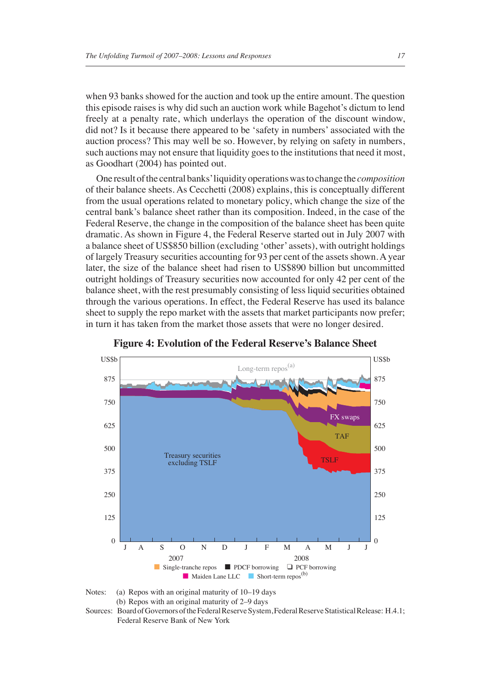when 93 banks showed for the auction and took up the entire amount. The question this episode raises is why did such an auction work while Bagehot's dictum to lend freely at a penalty rate, which underlays the operation of the discount window, did not? Is it because there appeared to be 'safety in numbers' associated with the auction process? This may well be so. However, by relying on safety in numbers, such auctions may not ensure that liquidity goes to the institutions that need it most, as Goodhart (2004) has pointed out.

One result of the central banks' liquidity operations was to change the *composition* of their balance sheets. As Cecchetti (2008) explains, this is conceptually different from the usual operations related to monetary policy, which change the size of the central bank's balance sheet rather than its composition. Indeed, in the case of the Federal Reserve, the change in the composition of the balance sheet has been quite dramatic. As shown in Figure 4, the Federal Reserve started out in July 2007 with a balance sheet of US\$850 billion (excluding 'other' assets), with outright holdings of largely Treasury securities accounting for 93 per cent of the assets shown. A year later, the size of the balance sheet had risen to US\$890 billion but uncommitted outright holdings of Treasury securities now accounted for only 42 per cent of the balance sheet, with the rest presumably consisting of less liquid securities obtained through the various operations. In effect, the Federal Reserve has used its balance sheet to supply the repo market with the assets that market participants now prefer; in turn it has taken from the market those assets that were no longer desired.



**Figure 4: Evolution of the Federal Reserve's Balance Sheet**

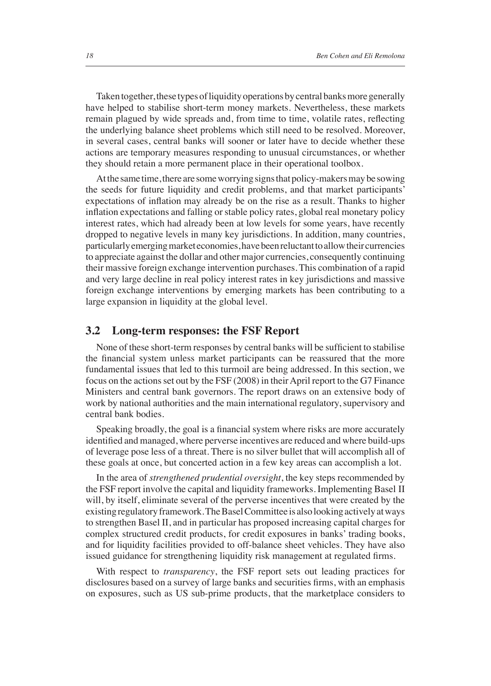Taken together, these types of liquidity operations by central banks more generally have helped to stabilise short-term money markets. Nevertheless, these markets remain plagued by wide spreads and, from time to time, volatile rates, reflecting the underlying balance sheet problems which still need to be resolved. Moreover, in several cases, central banks will sooner or later have to decide whether these actions are temporary measures responding to unusual circumstances, or whether they should retain a more permanent place in their operational toolbox.

At the same time, there are some worrying signs that policy-makers may be sowing the seeds for future liquidity and credit problems, and that market participants' expectations of inflation may already be on the rise as a result. Thanks to higher inflation expectations and falling or stable policy rates, global real monetary policy interest rates, which had already been at low levels for some years, have recently dropped to negative levels in many key jurisdictions. In addition, many countries, particularly emerging market economies, have been reluctant to allow their currencies to appreciate against the dollar and other major currencies, consequently continuing their massive foreign exchange intervention purchases. This combination of a rapid and very large decline in real policy interest rates in key jurisdictions and massive foreign exchange interventions by emerging markets has been contributing to a large expansion in liquidity at the global level.

#### **3.2 Long-term responses: the FSF Report**

None of these short-term responses by central banks will be sufficient to stabilise the financial system unless market participants can be reassured that the more fundamental issues that led to this turmoil are being addressed. In this section, we focus on the actions set out by the FSF (2008) in their April report to the G7 Finance Ministers and central bank governors. The report draws on an extensive body of work by national authorities and the main international regulatory, supervisory and central bank bodies.

Speaking broadly, the goal is a financial system where risks are more accurately identified and managed, where perverse incentives are reduced and where build-ups of leverage pose less of a threat. There is no silver bullet that will accomplish all of these goals at once, but concerted action in a few key areas can accomplish a lot.

In the area of *strengthened prudential oversight*, the key steps recommended by the FSF report involve the capital and liquidity frameworks. Implementing Basel II will, by itself, eliminate several of the perverse incentives that were created by the existing regulatory framework. The Basel Committee is also looking actively at ways to strengthen Basel II, and in particular has proposed increasing capital charges for complex structured credit products, for credit exposures in banks' trading books, and for liquidity facilities provided to off-balance sheet vehicles. They have also issued guidance for strengthening liquidity risk management at regulated firms.

With respect to *transparency*, the FSF report sets out leading practices for disclosures based on a survey of large banks and securities firms, with an emphasis on exposures, such as US sub-prime products, that the marketplace considers to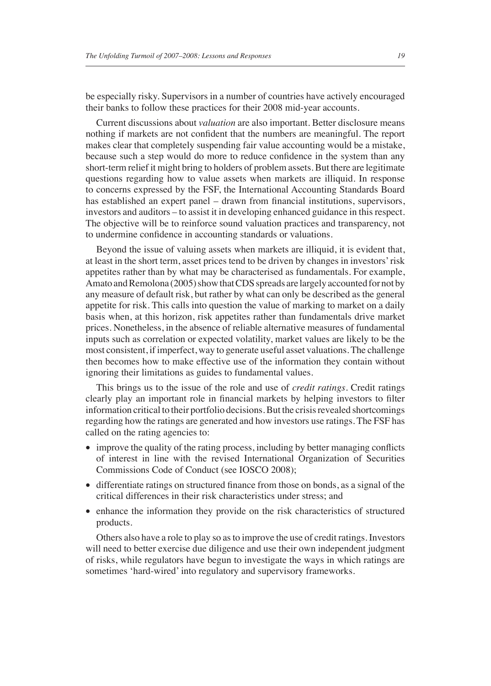be especially risky. Supervisors in a number of countries have actively encouraged their banks to follow these practices for their 2008 mid-year accounts.

Current discussions about *valuation* are also important. Better disclosure means nothing if markets are not confident that the numbers are meaningful. The report makes clear that completely suspending fair value accounting would be a mistake, because such a step would do more to reduce confidence in the system than any short-term relief it might bring to holders of problem assets. But there are legitimate questions regarding how to value assets when markets are illiquid. In response to concerns expressed by the FSF, the International Accounting Standards Board has established an expert panel – drawn from financial institutions, supervisors, investors and auditors – to assist it in developing enhanced guidance in this respect. The objective will be to reinforce sound valuation practices and transparency, not to undermine confidence in accounting standards or valuations.

Beyond the issue of valuing assets when markets are illiquid, it is evident that, at least in the short term, asset prices tend to be driven by changes in investors' risk appetites rather than by what may be characterised as fundamentals. For example, Amato and Remolona (2005) show that CDS spreads are largely accounted for not by any measure of default risk, but rather by what can only be described as the general appetite for risk. This calls into question the value of marking to market on a daily basis when, at this horizon, risk appetites rather than fundamentals drive market prices. Nonetheless, in the absence of reliable alternative measures of fundamental inputs such as correlation or expected volatility, market values are likely to be the most consistent, if imperfect, way to generate useful asset valuations. The challenge then becomes how to make effective use of the information they contain without ignoring their limitations as guides to fundamental values.

This brings us to the issue of the role and use of *credit ratings.* Credit ratings clearly play an important role in financial markets by helping investors to filter information critical to their portfolio decisions. But the crisis revealed shortcomings regarding how the ratings are generated and how investors use ratings. The FSF has called on the rating agencies to:

- improve the quality of the rating process, including by better managing conflicts of interest in line with the revised International Organization of Securities Commissions Code of Conduct (see IOSCO 2008);
- differentiate ratings on structured finance from those on bonds, as a signal of the critical differences in their risk characteristics under stress; and
- enhance the information they provide on the risk characteristics of structured products.

Others also have a role to play so as to improve the use of credit ratings. Investors will need to better exercise due diligence and use their own independent judgment of risks, while regulators have begun to investigate the ways in which ratings are sometimes 'hard-wired' into regulatory and supervisory frameworks.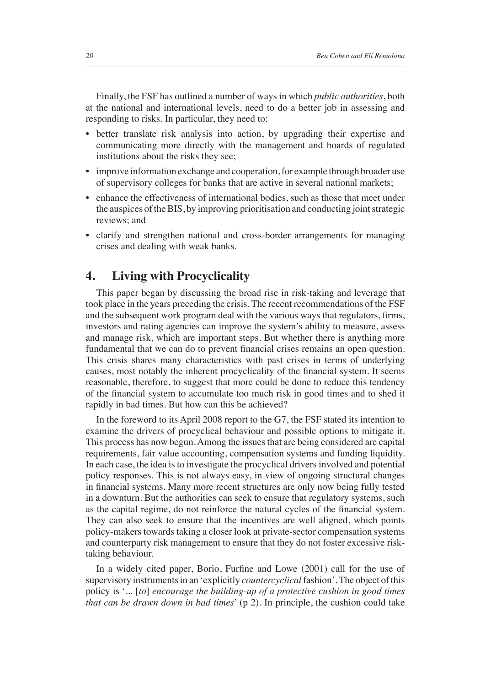Finally, the FSF has outlined a number of ways in which *public authorities*, both at the national and international levels, need to do a better job in assessing and responding to risks. In particular, they need to:

- better translate risk analysis into action, by upgrading their expertise and communicating more directly with the management and boards of regulated institutions about the risks they see;
- improve information exchange and cooperation, for example through broader use of supervisory colleges for banks that are active in several national markets;
- enhance the effectiveness of international bodies, such as those that meet under the auspices of the BIS, by improving prioritisation and conducting joint strategic reviews; and
- clarify and strengthen national and cross-border arrangements for managing crises and dealing with weak banks.

# **4. Living with Procyclicality**

This paper began by discussing the broad rise in risk-taking and leverage that took place in the years preceding the crisis. The recent recommendations of the FSF and the subsequent work program deal with the various ways that regulators, firms, investors and rating agencies can improve the system's ability to measure, assess and manage risk, which are important steps. But whether there is anything more fundamental that we can do to prevent financial crises remains an open question. This crisis shares many characteristics with past crises in terms of underlying causes, most notably the inherent procyclicality of the financial system. It seems reasonable, therefore, to suggest that more could be done to reduce this tendency of the financial system to accumulate too much risk in good times and to shed it rapidly in bad times. But how can this be achieved?

In the foreword to its April 2008 report to the G7, the FSF stated its intention to examine the drivers of procyclical behaviour and possible options to mitigate it. This process has now begun. Among the issues that are being considered are capital requirements, fair value accounting, compensation systems and funding liquidity. In each case, the idea is to investigate the procyclical drivers involved and potential policy responses. This is not always easy, in view of ongoing structural changes in financial systems. Many more recent structures are only now being fully tested in a downturn. But the authorities can seek to ensure that regulatory systems, such as the capital regime, do not reinforce the natural cycles of the financial system. They can also seek to ensure that the incentives are well aligned, which points policy-makers towards taking a closer look at private-sector compensation systems and counterparty risk management to ensure that they do not foster excessive risktaking behaviour.

In a widely cited paper, Borio, Furfine and Lowe (2001) call for the use of supervisory instruments in an 'explicitly *countercyclical* fashion'. The object of this policy is '... [*to*] *encourage the building-up of a protective cushion in good times that can be drawn down in bad times*' (p 2). In principle, the cushion could take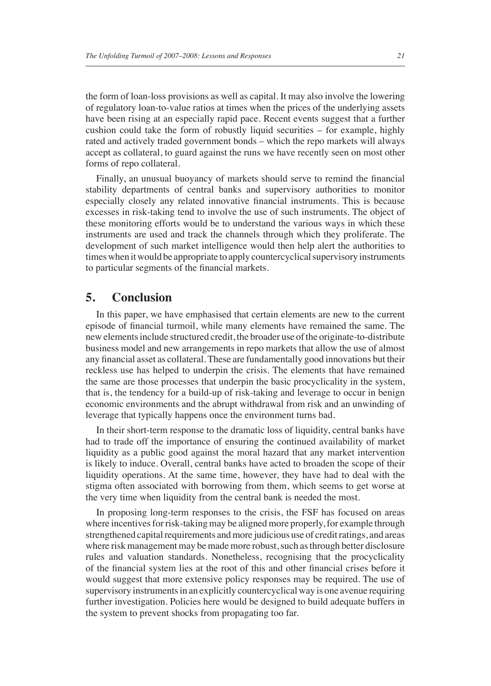the form of loan-loss provisions as well as capital. It may also involve the lowering of regulatory loan-to-value ratios at times when the prices of the underlying assets have been rising at an especially rapid pace. Recent events suggest that a further cushion could take the form of robustly liquid securities – for example, highly rated and actively traded government bonds – which the repo markets will always accept as collateral, to guard against the runs we have recently seen on most other forms of repo collateral.

Finally, an unusual buoyancy of markets should serve to remind the financial stability departments of central banks and supervisory authorities to monitor especially closely any related innovative financial instruments. This is because excesses in risk-taking tend to involve the use of such instruments. The object of these monitoring efforts would be to understand the various ways in which these instruments are used and track the channels through which they proliferate. The development of such market intelligence would then help alert the authorities to times when it would be appropriate to apply countercyclical supervisory instruments to particular segments of the financial markets.

## **5. Conclusion**

In this paper, we have emphasised that certain elements are new to the current episode of financial turmoil, while many elements have remained the same. The new elements include structured credit, the broader use of the originate-to-distribute business model and new arrangements in repo markets that allow the use of almost any financial asset as collateral. These are fundamentally good innovations but their reckless use has helped to underpin the crisis. The elements that have remained the same are those processes that underpin the basic procyclicality in the system, that is, the tendency for a build-up of risk-taking and leverage to occur in benign economic environments and the abrupt withdrawal from risk and an unwinding of leverage that typically happens once the environment turns bad.

In their short-term response to the dramatic loss of liquidity, central banks have had to trade off the importance of ensuring the continued availability of market liquidity as a public good against the moral hazard that any market intervention is likely to induce. Overall, central banks have acted to broaden the scope of their liquidity operations. At the same time, however, they have had to deal with the stigma often associated with borrowing from them, which seems to get worse at the very time when liquidity from the central bank is needed the most.

In proposing long-term responses to the crisis, the FSF has focused on areas where incentives for risk-taking may be aligned more properly, for example through strengthened capital requirements and more judicious use of credit ratings, and areas where risk management may be made more robust, such as through better disclosure rules and valuation standards. Nonetheless, recognising that the procyclicality of the financial system lies at the root of this and other financial crises before it would suggest that more extensive policy responses may be required. The use of supervisory instruments in an explicitly countercyclical way is one avenue requiring further investigation. Policies here would be designed to build adequate buffers in the system to prevent shocks from propagating too far.